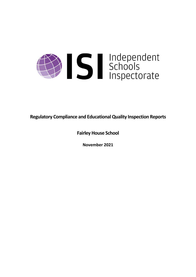

**Regulatory Compliance and EducationalQuality Inspection Reports**

**Fairley House School**

**November 2021**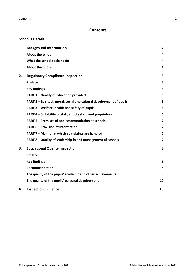# **Contents**

| <b>School's Details</b> |                                                                      |    |
|-------------------------|----------------------------------------------------------------------|----|
| 1.                      | <b>Background Information</b>                                        | 4  |
|                         | <b>About the school</b>                                              | 4  |
|                         | What the school seeks to do                                          | 4  |
|                         | About the pupils                                                     | 4  |
| 2.                      | <b>Regulatory Compliance Inspection</b>                              | 5  |
|                         | Preface                                                              | 5  |
|                         | <b>Key findings</b>                                                  | 6  |
|                         | PART 1 - Quality of education provided                               | 6  |
|                         | PART 2 - Spiritual, moral, social and cultural development of pupils | 6  |
|                         | PART 3 - Welfare, health and safety of pupils                        | 6  |
|                         | PART 4 – Suitability of staff, supply staff, and proprietors         | 6  |
|                         | PART 5 - Premises of and accommodation at schools                    | 7  |
|                         | <b>PART 6 - Provision of information</b>                             | 7  |
|                         | PART 7 - Manner in which complaints are handled                      | 7  |
|                         | PART 8 - Quality of leadership in and management of schools          | 7  |
| 3.                      | <b>Educational Quality Inspection</b>                                | 8  |
|                         | Preface                                                              | 8  |
|                         | <b>Key findings</b>                                                  | 8  |
|                         | <b>Recommendation</b>                                                | 8  |
|                         | The quality of the pupils' academic and other achievements           | 8  |
|                         | The quality of the pupils' personal development                      | 10 |
| 4.                      | <b>Inspection Evidence</b>                                           | 13 |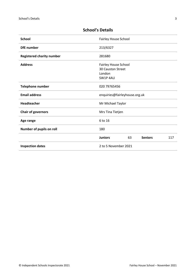| <b>School</b>                    | Fairley House School                                           |  |  |
|----------------------------------|----------------------------------------------------------------|--|--|
| <b>DfE</b> number                | 213/6327                                                       |  |  |
| <b>Registered charity number</b> | 281680                                                         |  |  |
| <b>Address</b>                   | Fairley House School<br>30 Causton Street<br>London<br>SW1P4AU |  |  |
| <b>Telephone number</b>          | 020 79765456                                                   |  |  |
| <b>Email address</b>             | enquiries@fairleyhouse.org.uk                                  |  |  |
| <b>Headteacher</b>               | Mr Michael Taylor                                              |  |  |
| <b>Chair of governors</b>        | Mrs Tina Tietjen                                               |  |  |
| Age range                        | 6 to 16                                                        |  |  |
| Number of pupils on roll         | 180                                                            |  |  |
|                                  | <b>Juniors</b><br>63<br><b>Seniors</b><br>117                  |  |  |
| <b>Inspection dates</b>          | 2 to 5 November 2021                                           |  |  |

# <span id="page-2-0"></span>**School's Details**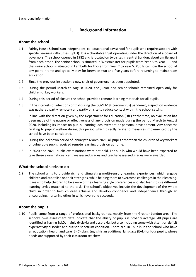# <span id="page-3-0"></span>**1. Background Information**

#### <span id="page-3-1"></span>**About the school**

- 1.1 Fairley House School is an independent, co-educational day school for pupils who require support with specific learning difficulties (SpLD). It is a charitable trust operating under the direction of a board of governors. The school opened in 1982 and islocated on two sitesin central London, about a mile apart from each other. The senior school is situated in Westminster for pupils from Year 6 to Year 11, and the junior school is situated in Lambeth for those from Year 2 to Year 5. Pupils can join the school at any point in time and typically stay for between two and five years before returning to mainstream education.
- 1.2 Since the previous inspection a new chair of governors has been appointed.
- 1.3 During the period March to August 2020, the junior and senior schools remained open only for children of key workers.
- 1.4 During this period of closure the school provided remote learning materials for all pupils.
- 1.5 In the interests of infection control during the COVID-19 (coronavirus) pandemic, inspection evidence was gathered partly remotely and partly on site to reduce contact within the school setting.
- 1.6 In line with the direction given by the Department for Education (DfE) at the time, no evaluation has been made of the nature or effectiveness of any provision made during the period March to August 2020, including its impact on pupils' learning, achievement or personal development. Any concerns relating to pupils' welfare during this period which directly relate to measures implemented by the school have been considered.
- 1.7 During the lockdown period of January to March 2021, all pupils other than the children of key workers or vulnerable pupils received remote learning provision at home.
- 1.8 In 2020 and 2021, public examinations were not held. For pupils who would have been expected to take these examinations, centre-assessed grades and teacher-assessed grades were awarded.

#### <span id="page-3-2"></span>**What the school seeks to do**

1.9 The school aims to provide rich and stimulating multi-sensory learning experiences, which engage children and capitalise on their strengths, while helping them to overcome challenges in their learning. It seeks to help children to be aware of their learning style preferences and also learn to use different learning styles matched to the task. The school's objectives include the development of the whole child, in order to help children achieve and develop confidence and independence through an encouraging, nurturing ethos in which everyone succeeds.

#### <span id="page-3-3"></span>**About the pupils**

1.10 Pupils come from a range of professional backgrounds, mostly from the Greater London area. The school's own assessment data indicate that the ability of pupils is broadly average. All pupils are identified as having SpLD, mainly dyslexia and dyspraxia, but also including some with attention deficit hyperactivity disorder and autistic spectrum condition. There are 101 pupils in the school who have an education, health and care (EHC) plan. English is an additional language (EAL) for four pupils, whose needs are supported by their classroom teachers.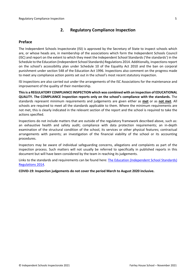# <span id="page-4-0"></span>**2. Regulatory Compliance Inspection**

# <span id="page-4-1"></span>**Preface**

The Independent Schools Inspectorate (ISI) is approved by the Secretary of State to inspect schools which are, or whose heads are, in membership of the associations which form the Independent Schools Council (ISC) and report on the extent to which they meet the Independent School Standards ('the standards') in the Schedule to the Education (Independent School Standards) Regulations 2014. Additionally, inspectionsreport on the school's accessibility plan under Schedule 10 of the Equality Act 2010 and the ban on corporal punishment under section 548 of the Education Act 1996. Inspections also comment on the progress made to meet any compliance action points set out in the school's most recent statutory inspection.

ISI inspections are also carried out under the arrangements of the ISC Associations for the maintenance and improvement of the quality of their membership.

**Thisis a REGULATORY COMPLIANCE INSPECTION which was combined with an inspection of EDUCATIONAL QUALITY. The COMPLIANCE inspection reports only on the school's compliance with the standards.** The standards represent minimum requirements and judgements are given either as **met** or as **not met**. All schools are required to meet all the standards applicable to them. Where the minimum requirements are not met, this is clearly indicated in the relevant section of the report and the school is required to take the actions specified.

Inspections do not include matters that are outside of the regulatory framework described above, such as: an exhaustive health and safety audit; compliance with data protection requirements; an in-depth examination of the structural condition of the school, its services or other physical features; contractual arrangements with parents; an investigation of the financial viability of the school or its accounting procedures.

Inspectors may be aware of individual safeguarding concerns, allegations and complaints as part of the inspection process. Such matters will not usually be referred to specifically in published reports in this document but will have been considered by the team in reaching its judgements.

Links to the standards and requirements can be found here: The Education [\(Independent](http://www.legislation.gov.uk/uksi/2014/3283/contents/made) School Standards) [Regulations](http://www.legislation.gov.uk/uksi/2014/3283/contents/made) 2014.

**COVID-19: Inspection judgements do not cover the period March to August 2020 inclusive.**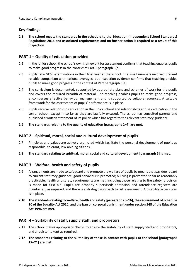# <span id="page-5-0"></span>**Key findings**

**2.1 The school meets the standards in the schedule to the Education (Independent School Standards) Regulations 2014 and associated requirements and no further action is required as a result of this inspection.**

# <span id="page-5-1"></span>**PART 1 – Quality of education provided**

- 2.2 In the junior school, the school's own framework for assessment confirms that teaching enables pupils to make good progress in the context of Part 1 paragraph 3(a).
- 2.3 Pupils take GCSE examinations in their final year at the school. The small numbers involved prevent reliable comparison with national averages, but inspection evidence confirms that teaching enables pupils to make good progress in the context of Part paragraph 3(a).
- 2.4 The curriculum is documented, supported by appropriate plans and schemes of work for the pupils and covers the required breadth of material. The teaching enables pupils to make good progress, encompasses effective behaviour management and is supported by suitable resources. A suitable framework for the assessment of pupils' performance is in place.
- 2.5 Pupils receive relationships education in the junior school and relationships and sex education in the senior school, except in so far as they are lawfully excused. The school has consulted parents and published a written statement of its policy which has regard to the relevant statutory guidance.

#### **2.6 The standards relating to the quality of education [paragraphs 1–4] are met.**

### <span id="page-5-2"></span>**PART 2 – Spiritual, moral, social and cultural development of pupils**

- 2.7 Principles and values are actively promoted which facilitate the personal development of pupils as responsible, tolerant, law-abiding citizens.
- **2.8 The standard relating to spiritual, moral, social and cultural development [paragraph 5] is met.**

# <span id="page-5-3"></span>**PART 3 – Welfare, health and safety of pupils**

- 2.9 Arrangements are made to safeguard and promote the welfare of pupils by means that pay due regard to current statutory guidance; good behaviour is promoted; bullying is prevented so far as reasonably practicable; health and safety requirements are met, including those relating to fire safety; provision is made for first aid. Pupils are properly supervised; admission and attendance registers are maintained, as required, and there is a strategic approach to risk assessment. A disability access plan is in place.
- **2.10 The standardsrelating to welfare, health and safety [paragraphs 6–16], the requirement of Schedule 10 of the Equality Act 2010, and the ban on corporal punishment undersection 548 of the Education Act 1996 are met.**

### <span id="page-5-4"></span>**PART 4 – Suitability of staff, supply staff, and proprietors**

- 2.11 The school makes appropriate checks to ensure the suitability of staff, supply staff and proprietors, and a register is kept as required.
- **2.12 The standards relating to the suitability of those in contact with pupils at the school [paragraphs 17–21] are met.**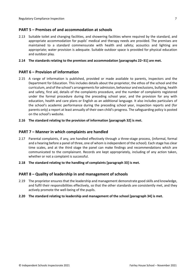# <span id="page-6-0"></span>**PART 5 – Premises of and accommodation at schools**

2.13 Suitable toilet and changing facilities, and showering facilities where required by the standard, and appropriate accommodation for pupils' medical and therapy needs are provided. The premises are maintained to a standard commensurate with health and safety; acoustics and lighting are appropriate; water provision is adequate. Suitable outdoor space is provided for physical education and outdoor play.

#### **2.14 The standards relating to the premises and accommodation [paragraphs 22–31] are met.**

### <span id="page-6-1"></span>**PART 6 – Provision of information**

- 2.15 A range of information is published, provided or made available to parents, inspectors and the Department for Education. This includes details about the proprietor, the ethos of the school and the curriculum, and of the school's arrangementsfor admission, behaviour and exclusions, bullying, health and safety, first aid, details of the complaints procedure, and the number of complaints registered under the formal procedure during the preceding school year, and the provision for any with education, health and care plans or English as an additional language. It also includes particulars of the school's academic performance during the preceding school year, inspection reports and (for parents only) a report at least annually of their own child's progress. The safeguarding policy is posted on the school's website.
- **2.16 The standard relating to the provision of information [paragraph 32] is met.**

#### <span id="page-6-2"></span>**PART 7 – Manner in which complaints are handled**

- 2.17 Parental complaints, if any, are handled effectively through a three-stage process, (informal, formal and a hearing before a panel of three, one of whom is independent of the school). Each stage has clear time scales, and at the third stage the panel can make findings and recommendations which are communicated to the complainant. Records are kept appropriately, including of any action taken, whether or not a complaint is successful.
- **2.18 The standard relating to the handling of complaints [paragraph 33] is met.**

### <span id="page-6-3"></span>**PART 8 – Quality of leadership in and management of schools**

- 2.19 The proprietor ensures that the leadership and management demonstrate good skills and knowledge, and fulfil their responsibilities effectively, so that the other standards are consistently met, and they actively promote the well-being of the pupils.
- **2.20 The standard relating to leadership and management of the school [paragraph 34] is met.**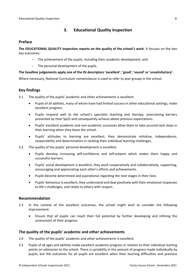# <span id="page-7-0"></span>**3. Educational Quality Inspection**

### <span id="page-7-1"></span>**Preface**

**The EDUCATIONAL QUALITY inspection reports on the quality of the school's work**. It focuses on the two key outcomes:

- The achievement of the pupils, including their academic development, and
- The personal development of the pupils.

#### **The headline judgements apply one of the ISI descriptors 'excellent', 'good', 'sound' or 'unsatisfactory'.**

Where necessary, National Curriculum nomenclature is used to refer to year groups in the school.

# <span id="page-7-2"></span>**Key findings**

3.1 The quality of the pupils' academic and other achievements is excellent.

- Pupils of all abilities, many of whom have had limited success in other educational settings, make excellent progress.
- Pupils respond well to the school's specialist teaching and therapy, overcoming barriers presented by their SpLD and consequently achieve above previous expectations.
- Pupils' excellent academic and non-academic successes allow them to take assured next steps in their learning when they leave the school.
- Pupils' attitudes to learning are excellent, they demonstrate initiative, independence, responsibility and determination in tackling their individual learning challenges.
- 3.2 The quality of the pupils' personal development is excellent.
	- Pupils develop increasing self-confidence and self-esteem which makes them happy and successful learners.
	- Pupils' social development is excellent, they work cooperatively and collaboratively, supporting, encouraging and appreciating each other's efforts and achievements.
	- Pupils become determined and aspirational regarding the next stages in their lives.
	- Pupils' behaviour is excellent; they understand and deal positively with their emotional responses to life's challenges, and relate to others with respect.

#### <span id="page-7-3"></span>**Recommendation**

- 3.3 In the context of the excellent outcomes, the school might wish to consider the following improvement:
	- Ensure that all pupils can reach their full potential by further developing and refining the assessment of their progress.

### <span id="page-7-4"></span>**The quality of the pupils' academic and other achievements**

- 3.4 The quality of the pupils' academic and other achievements is excellent.
- 3.5 Pupils of all ages and abilities make excellent academic progress in relation to their individual starting points on admission to the school. There is variability in the amount of progress made individually by pupils, but the outcomes for all pupils are excellent when their learning difficulties and previous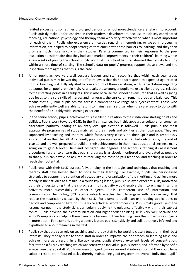limited success and sometimes prolonged periods of school non-attendance are taken into account. Pupils quickly make up for lost time in their academic development because the closely coordinated teaching, educational psychology and therapy team work very effectively on what is most important for each of them. Pupils who experience difficulties regarding memorising, or speed in processing information, are helped to adopt strategies that ameliorate these barriers to learning, and they then progress much more rapidly in their studies. Parents commented in their responses to the preinspection questionnaire that they had seen marked improvements in their children's learning within a few weeks of joining the school. Pupils said that the school had transformed their ability to study within a short time of starting. The school's data on pupils' progress support these views and the inspection team agrees that this is the case.

- 3.6 Junior pupils achieve very well because leaders and staff recognise that within each year group individual pupils may be working at different levels that do not correspond to expected age-related norms. Teaching is skilfully adjusted to take account of these variations, whilst expectations regarding outcomes for all pupils remain high. As a result, these younger pupils make excellent progress relative to their starting points in all subjects. This is also because the school has ensured that as well as giving due focus to the core skills of literacy and numeracy, the curriculum remains broad and balanced. This means that all junior pupils achieve across a comprehensive range of subject content. Those who achieve sufficiently well are able to return to mainstream settings when they are ready to do so with the benefit of a suitably wide learning experience.
- 3.7 In the senior school, pupils' achievement is excellent in relation to their individual starting points and abilities. Pupils work towards GCSEs in the first instance, but if this appears unsuitable for some, an alternative pathway leading to an entry-level qualification is followed. Pupils pursue the most appropriate programmes of study matched to their needs and abilities at their own pace. They are supported by teaching and therapy which focuses very closely on their SpLD and is ambitiously aspirational on their behalf. As a result, pupils gain appropriate accredited outcomes by the end of Year 11 and are well prepared to build on their achievements in their next educational settings, many going on to gain A levels, first and post-graduate degrees. The school is refining its assessment procedures further to ensure that pupils' progress is as closely monitored and evaluated as possible so that pupils can always be assured of receiving the most helpful feedback and teaching in order to reach their potential.
- 3.8 Pupils deal with their SpLD purposefully, employing the strategies and techniques that teaching and therapy staff have helped them to bring to their learning. For example, pupils use personalised strategies to support the retention of vocabulary and organisation of their writing and achieve more readily in their studies as a result. In a touch typing lesson, pupils displayed excellent skills, motivated by their understanding that their progress in this activity would enable them to engage in writing activities more successfully in other subjects. Pupils' competent use of information and communication technology (ICT) across subjects enables them to engage with tasks in ways that reduce the restrictions caused by their SpLD. For example, pupils can use reading applications to decode and comprehend text, or utilise voice activated word processing. Pupils make good use of the lessons learned in the study skills curriculum, applying the guidance effectively within their subject topics. Pupils develop their communication and higher-order thinking skills very well because the school's emphasis on helping them overcome barriers to their learning frees them to explore subjects in more depth. For example, during a poetry lesson, pupils sensitively and collaboratively inferred and hypothesised about meaning in the text.
- 3.9 Pupils say that they can rely on teaching and therapy staff to be working closely together in their best interests. They readily refer to these staff in order to improve their approach to learning tasks and achieve more as a result. In a literacy lesson, pupils showed excellent levels of concentration, facilitated skilfully by teaching which was sensitive to individual pupils' needs, and informed by specific advice from therapy staff. Pupils were encouraged to move around at intervals so that they could have suitable respite from focused tasks, thereby maintaining good engagement overall. Individual pupils'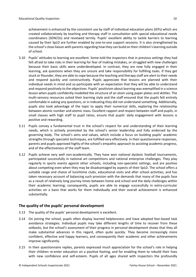achievement is enhanced by the consistent use by staff of individual education plans (IEPs) which are created collaboratively by teaching and therapy staff in consultation with special educational needs coordinators (SENCOs) and reviewed termly. Pupils' excellent ability to tackle barriers to learning caused by their SpLD are further enabled by one-to-one support sessions. It is also strengthened by the school's close liaison with parents regarding how they can build on their children's learning outside of school.

- 3.10 Pupils' attitudes to learning are excellent. Some told the inspectors that in previous settings they had felt afraid to take risks in their learning for fear of making mistakes, or struggled with new challenges because their basic skills were underdeveloped. In contrast, they are now fully engaged in their learning, ask questions when they are unsure and take responsibility for fulfilling tasks. If they get stuck or flounder, they are able to cope because the teaching and therapy staff are alert to their needs and respond quickly and constructively. Pupils appreciate that lessons are planned with their individual needs in mind and so participate with an expectation that they will be able to understand and respond positively to the objectives. Pupils' positivism about learning was exemplified in a science lesson when pupils confidently modelled the structure of an atom using paper plates and skittles. The multi-sensory resources suited their learning style and the staff ensured that the pupils felt entirely comfortable in asking any questions, or in indicating they did not understand something. Additionally, pupils also took advantage of the topic to apply their numerical skills, exploring the relationship between atomic number and atomic mass. Excellent rapport and respect between staff and pupils, in small classes with high staff to pupil ratios, ensure that pupils' daily engagement with lessons is positive and rewarding.
- 3.11 Pupils convey a fundamental trust in the school's respect for and understanding of their learning needs, which is actively promoted by the school's senior leadership and fully endorsed by the governing body. The school's aims and values, which include a focus on building pupils' academic strengths through specialist techniques, are fulfilled very effectively. In their questionnaire responses, parents and pupils approved highly of the school's empathic approach to assisting academic progress, and of the effectiveness of the staff team.
- 3.12 Pupils achieve very well non-academically. They have won national dyslexic football tournaments, participated successfully in national art competitions and national enterprise challenges. They play regularly in sports events against other schools, including non-specialist settings, and are positive about competing even when they may be disadvantaged by aspects of their SpLD. The school offers a suitable range and choice of lunchtime clubs, educational visits and after school activities, and has taken necessary account of balancing such provision with the demands that many of the pupils face as a result of relatively long journey times between home and school and the daily challenges within their academic learning; consequently, pupils are able to engage successfully in extra-curricular activities on a basis that works for them individually and their overall achievement is enhanced substantially.

# <span id="page-9-0"></span>**The quality of the pupils' personal development**

- 3.13 The quality of the pupils' personal development is excellent.
- 3.14 On joining the school, pupils often display learned helplessness and have adopted fear-based task avoidance strategies. Individual pupils may take different lengths of time to recover from these setbacks, but the school's assessment of their progress in personal development shows that they all make substantial advances in this regard, often quite quickly. They become increasingly more confident, effective and happy learners, and consequently their academic and other achievements improve significantly.
- 3.15 In their questionnaire replies, parents expressed much appreciation for the school's role in helping their children re-enter education on a positive footing, and for enabling them to rebuild their lives with new confidence and self-esteem. Pupils of all ages shared with inspectors the profoundly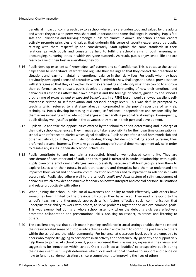beneficial impact of coming each day to a school where they are understood and valued by the adults and where they are with peers who share and understand the same challenges in learning. Pupils feel safe and unkindness and bullying amongst pupils are almost unknown. The school's senior leaders actively promote principles and values that underpin this sense of security experienced by pupils, relating with them respectfully and considerately. Staff uphold the same standards in their relationships with pupils and consistently help to fulfil the school's aims through ensuring an encouraging, nurturing ethos in which everyone succeeds. As result, pupils enjoy school life and are ready to give of their best in everything they do.

- 3.16 Pupils develop excellent self-knowledge, self-esteem and self-confidence. This is because the school helps them to understand, interpret and regulate their feelings so that they control their reactions to situations and learn to maintain an emotional balance in their daily lives. For pupils who may have previously developed a sense of defeatism when faced with a new challenge, the school providesthem with strategies so that they can explain how they are feeling and identify what they can do to improve their performance. As a result, pupils develop a deeper understanding of how their emotional and behavioural responses affect their own progress and the feelings of others, guided by the school's programme of *expected and unexpected behaviours*. In a PSHE lesson, pupils showed excellent selfawareness related to self-motivation and personal energy levels. This was skilfully prompted by teaching which referred to a strategy already incorporated in the pupils' repertoire of self-help techniques. Pupils develop increasing resilience, self-reliance, independence and responsibility for themselves in dealing with academic challenges and in handling personal relationships. Consequently, pupils display well-justified pride in the advances they make in their personal development.
- 3.17 Pupils value and take the opportunities offered by the school to be self-determining and in charge of their daily school experiences. They manage and take responsibility for their own time organisation in school with reference to diaries which signal deadlines. Pupils select after school homework club and other activity clubs if they wish, demonstrating thoughtful decision-making about pursuing their preferred personal interests. They take good advantage of tutorial time-management advice in order to resolve any issues in their daily school schedules.
- 3.18 Pupils contribute to and maintain a respectful, friendly, well-behaved community. They are considerate of each other and of staff, and this regard is mirrored in adults' relationships with pupils. Pupils overcome emotional challenges very successfully because small form groups allow them to explore issues with their tutors. In addition, teachers and therapists help them to understand the impact of their verbal and non-verbal communication on others and to improve their relationship skills accordingly. Pupils also adhere well to the school's *credit and debit* system of self-management of behaviour which provides constructive feedback on how to interpret and control personal frustrations and relate productively with others.
- 3.19 When joining the school, pupils' social awareness and ability to work effectively with others have sometimes been limited by the previous difficulties they have faced. They readily respond to the school's teaching and therapeutic approach which fosters effective social communication that underpins their ability to work with others, to solve problems together and achieve common goals. This was exemplified during a whole school assembly when the debating club very effectively promoted collaboration and presentational skills, focusing on respect, tolerance and listening to others.
- 3.20 The excellent progress that pupils make in gaining confidence in social settings enables them to extend their reinvigorated sense of purpose into activities which allow them to contribute positively to others within the school and the wider community. For instance, at classroom level, pupils are empathic to peers who may be struggling to participate in an activity and spontaneously, patiently and supportively help them to join in. At school council, pupils represent their classmates, expressing their views and suggestions for innovation within school. Older pupils act as 'buddies' to prospective pupils during their assessment visit. Pupils determine which local and national charities to support and decide on how to fund raise, demonstrating a sincere commitment to improving the lives of others.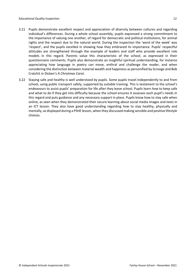- 
- 3.21 Pupils demonstrate excellent respect and appreciation of diversity between cultures and regarding individual's differences. During a whole school assembly, pupils expressed a strong commitment to the importance of valuing one another, of regard for democratic and political institutions, for animal rights and the respect due to the natural world. During the inspection the 'word of the week' was 'respect', and the pupils excelled in showing how they embraced its importance. Pupils' respectful attitudes are strengthened through the example of leaders and staff who provide excellent role models in this regard. Parents value this characteristic of the school, as expressed in their questionnaire comments. Pupils also demonstrate an insightful spiritual understanding, for instance appreciating how language in poetry can move, enthral and challenge the reader, and when considering the distinction between material wealth and happiness as personified by Scrooge and Bob Cratchit in Dicken's *A Christmas Carol*.
- 3.22 Staying safe and healthy is well understood by pupils. Some pupils travel independently to and from school, using public transport safely, supported by suitable training. This is testament to the school's endeavours to assist pupils' preparation for life after they leave school. Pupils learn how to keep safe and what to do if they get into difficulty because the school ensures it assesses each pupil's needs in this regard and puts guidance and any necessary support in place. Pupils know how to stay safe when online, as seen when they demonstrated their secure learning about social media images and texts in an ICT lesson. They also have good understanding regarding how to stay healthy, physically and mentally, as displayed during a PSHE lesson, when they discussed making sensible and positive lifestyle choices.